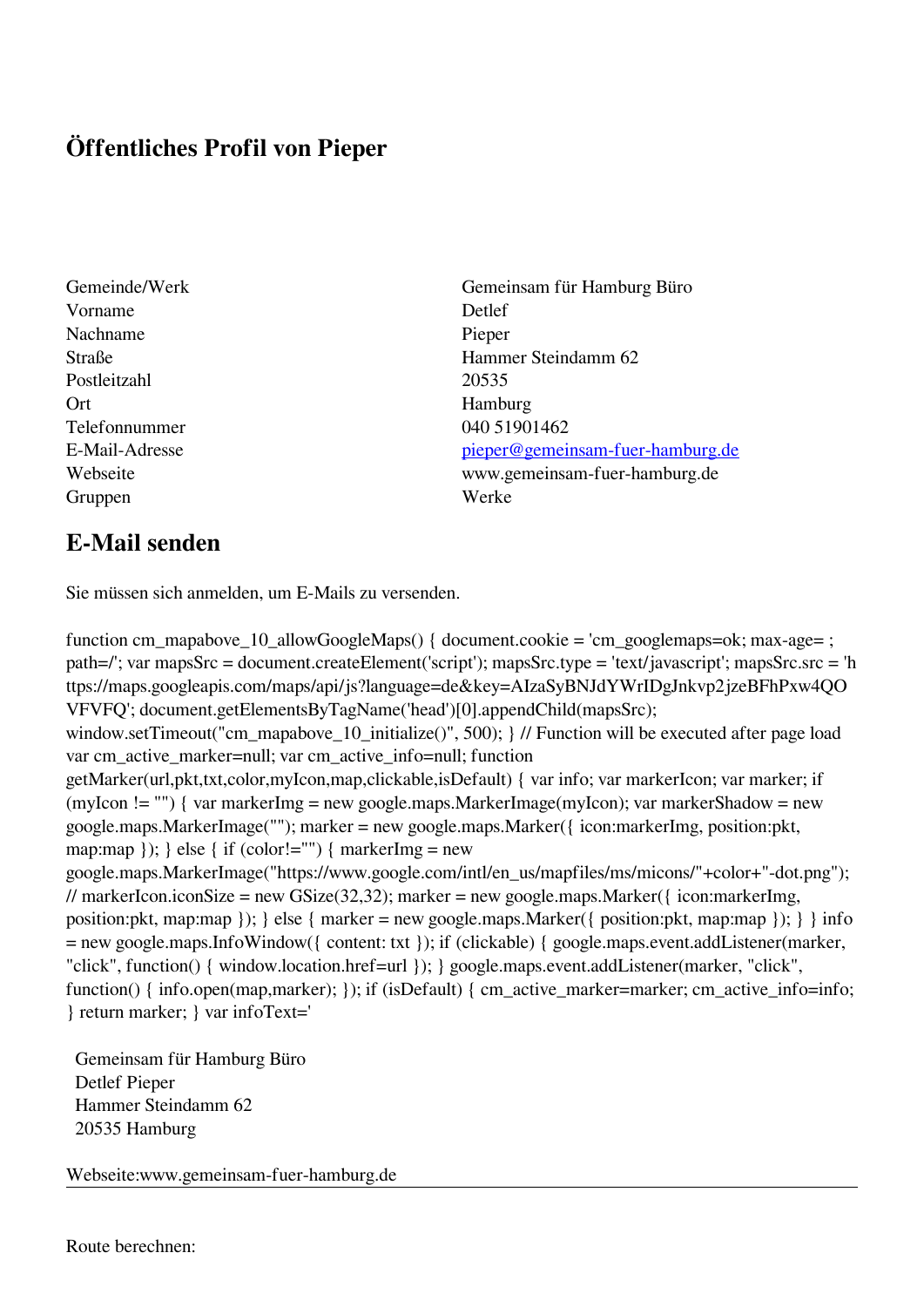## **Öffentliches Profil von Pieper**

- Vorname Detlef Nachname Pieper Postleitzahl 20535 Ort Hamburg Telefonnummer 040 51901462 Gruppen Werke
- Gemeinde/Werk Gemeinsam für Hamburg Büro Straße Hammer Steindamm 62 E-Mail-Adresse [pieper@gemeinsam-fuer-hamburg.de](mailto:pieper@gemeinsam-fuer-hamburg.de) Webseite www.gemeinsam-fuer-hamburg.de

## **E-Mail senden**

Sie müssen sich anmelden, um E-Mails zu versenden.

function cm\_mapabove\_10\_allowGoogleMaps() { document.cookie = 'cm\_googlemaps=ok; max-age= ; path=/'; var mapsSrc = document.createElement('script'); mapsSrc.type = 'text/javascript'; mapsSrc.src = 'h ttps://maps.googleapis.com/maps/api/js?language=de&key=AIzaSyBNJdYWrIDgJnkvp2jzeBFhPxw4QO VFVFQ'; document.getElementsByTagName('head')[0].appendChild(mapsSrc); window.setTimeout("cm\_mapabove\_10\_initialize()", 500); } // Function will be executed after page load var cm\_active\_marker=null; var cm\_active\_info=null; function getMarker(url,pkt,txt,color,myIcon,map,clickable,isDefault) { var info; var markerIcon; var marker; if (myIcon != "") { var markerImg = new google.maps.MarkerImage(myIcon); var markerShadow = new google.maps.MarkerImage(""); marker = new google.maps.Marker({ icon:markerImg, position:pkt, map:map  $\}$ ;  $\}$  else  $\{$  if (color!="")  $\{$  markerImg = new google.maps.MarkerImage("https://www.google.com/intl/en\_us/mapfiles/ms/micons/"+color+"-dot.png"); // markerIcon.iconSize = new GSize(32,32); marker = new google.maps.Marker( $\{$  icon:markerImg, position:pkt, map:map }); } else { marker = new google.maps.Marker({ position:pkt, map:map }); } } info = new google.maps.InfoWindow({ content: txt }); if (clickable) { google.maps.event.addListener(marker, "click", function() { window.location.href=url }); } google.maps.event.addListener(marker, "click", function() { info.open(map,marker); }); if (isDefault) { cm\_active\_marker=marker; cm\_active\_info=info; } return marker; } var infoText='

 Gemeinsam für Hamburg Büro Detlef Pieper Hammer Steindamm 62 20535 Hamburg

Webseite:www.gemeinsam-fuer-hamburg.de